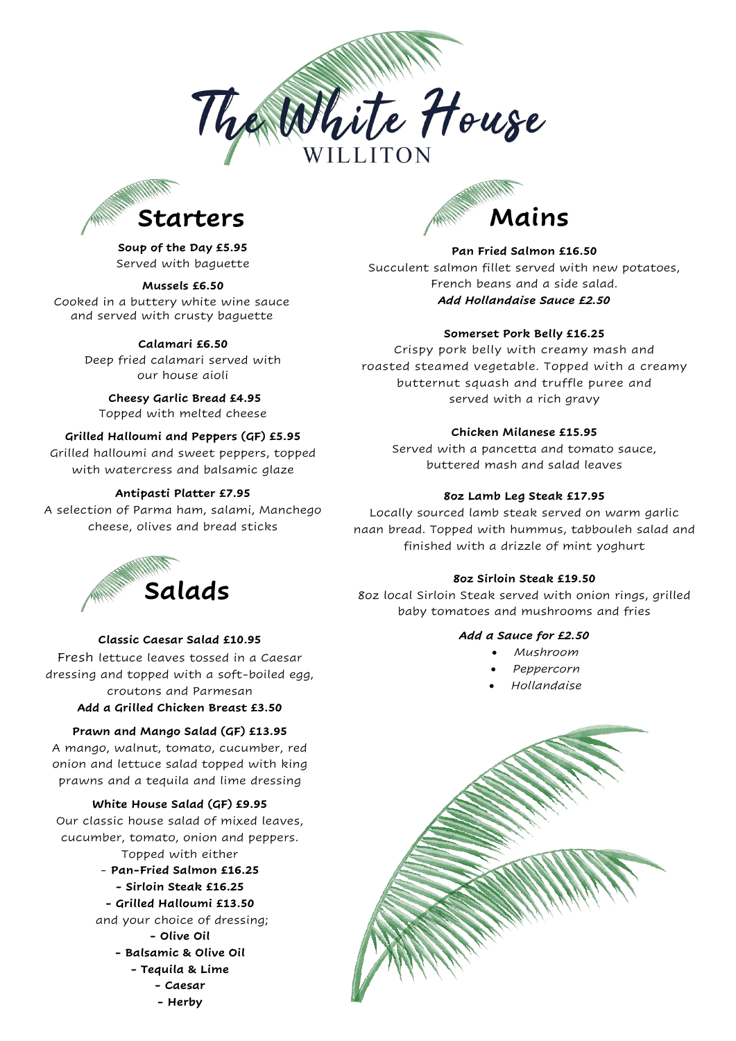



**Soup of the Day £5.95** Served with baguette

### **Mussels £6.50**

Cooked in a buttery white wine sauce and served with crusty baguette

# **Calamari £6.50**

Deep fried calamari served with our house aioli

**Cheesy Garlic Bread £4.95** Topped with melted cheese

# **Grilled Halloumi and Peppers (GF) £5.95**

Grilled halloumi and sweet peppers, topped with watercress and balsamic glaze

### **Antipasti Platter £7.95**

A selection of Parma ham, salami, Manchego cheese, olives and bread sticks



#### **Classic Caesar Salad £10.95**

Fresh lettuce leaves tossed in a Caesar dressing and topped with a soft-boiled egg, croutons and Parmesan **Add a Grilled Chicken Breast £3.50**

# **Prawn and Mango Salad (GF) £13.95**

A mango, walnut, tomato, cucumber, red onion and lettuce salad topped with king prawns and a tequila and lime dressing

# **White House Salad (GF) £9.95**

Our classic house salad of mixed leaves, cucumber, tomato, onion and peppers. Topped with either - **Pan-Fried Salmon £16.25 - Sirloin Steak £16.25 - Grilled Halloumi £13.50** and your choice of dressing; **- Olive Oil** 

# **- Balsamic & Olive Oil**

- **- Tequila & Lime** 
	-
	- **- Caesar**
	- **- Herby**



# **Pan Fried Salmon £16.50**

Succulent salmon fillet served with new potatoes, French beans and a side salad. *Add Hollandaise Sauce £2.50*

# **Somerset Pork Belly £16.25**

Crispy pork belly with creamy mash and roasted steamed vegetable. Topped with a creamy butternut squash and truffle puree and served with a rich gravy

# **Chicken Milanese £15.95**

Served with a pancetta and tomato sauce, buttered mash and salad leaves

# **8oz Lamb Leg Steak £17.95**

Locally sourced lamb steak served on warm garlic naan bread. Topped with hummus, tabbouleh salad and finished with a drizzle of mint yoghurt

#### **8oz Sirloin Steak £19.50**

8oz local Sirloin Steak served with onion rings, grilled baby tomatoes and mushrooms and fries

# *Add a Sauce for £2.50*

- *Mushroom*
- *Peppercorn*
- *Hollandaise*